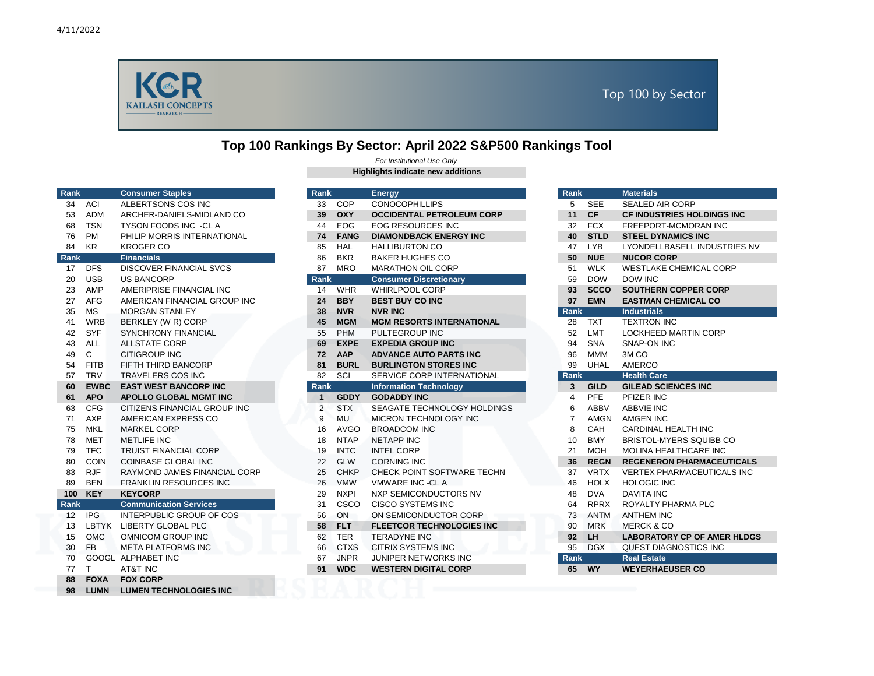

## **Top 100 Rankings By Sector: April 2022 S&P500 Rankings Tool**

| Rank            |             | <b>Consumer Staples</b>        |
|-----------------|-------------|--------------------------------|
| 34              | ACI         | ALBERTSONS COS INC             |
| 53              | <b>ADM</b>  | ARCHER-DANIELS-MIDLAND CO      |
| 68              | <b>TSN</b>  | TYSON FOODS INC -CLA           |
| 76              | <b>PM</b>   | PHILIP MORRIS INTERNATIONAL    |
| 84              | <b>KR</b>   | <b>KROGER CO</b>               |
| Rank            |             | <b>Financials</b>              |
| 17 <sup>2</sup> | DFS.        | <b>DISCOVER FINANCIAL SVCS</b> |
| 20              | <b>USB</b>  | <b>US BANCORP</b>              |
| 23              | AMP         | AMERIPRISE FINANCIAL INC       |
| 27              | <b>AFG</b>  | AMERICAN FINANCIAL GROUP INC   |
| 35              | МS          | <b>MORGAN STANLEY</b>          |
| 41              | WRB         | BERKLEY (W R) CORP             |
| 42              | <b>SYF</b>  | <b>SYNCHRONY FINANCIAL</b>     |
| 43              | <b>ALL</b>  | <b>ALLSTATE CORP</b>           |
| 49              | C           | <b>CITIGROUP INC</b>           |
| 54              | <b>FITB</b> | FIFTH THIRD BANCORP            |
| 57              | <b>TRV</b>  | <b>TRAVELERS COS INC</b>       |
| 60              | <b>EWBC</b> | <b>EAST WEST BANCORP INC</b>   |
| 61              | <b>APO</b>  | <b>APOLLO GLOBAL MGMT INC</b>  |
| 63              | CFG         | CITIZENS FINANCIAL GROUP INC   |
| 71              | AXP         | AMERICAN EXPRESS CO            |
| 75              | <b>MKL</b>  | <b>MARKEL CORP</b>             |
| 78              | MET         | <b>METLIFE INC</b>             |
| 79              | <b>TFC</b>  | <b>TRUIST FINANCIAL CORP</b>   |
| 80              | <b>COIN</b> | <b>COINBASE GLOBAL INC</b>     |
| 83              | <b>RJF</b>  | RAYMOND JAMES FINANCIAL CORP   |
| 89              | <b>BEN</b>  | <b>FRANKLIN RESOURCES INC</b>  |
| 100             | <b>KEY</b>  | <b>KEYCORP</b>                 |
| <b>Rank</b>     |             | <b>Communication Services</b>  |
| 12              | <b>IPG</b>  | INTERPUBLIC GROUP OF COS       |
| 13              | LBTYK       | <b>LIBERTY GLOBAL PLC</b>      |
| 15              | <b>OMC</b>  | <b>OMNICOM GROUP INC</b>       |
| 30              | FB.         | <b>META PLATFORMS INC</b>      |
| 70              |             | <b>GOOGL ALPHABET INC</b>      |
| 77              | т           | <b>AT&amp;T INC</b>            |
| 88              | <b>FOXA</b> | <b>FOX CORP</b>                |
| 98              | <b>LUMN</b> | <b>LUMEN TECHNOLOGIES INC</b>  |

## **Highlights indicate new additions** *For Institutional Use Only*

| Rank |              | <b>Consumer Staples</b>        | Rank        |             | <b>Energy</b>                    | <b>Rank</b>       | <b>Materials</b>                   |
|------|--------------|--------------------------------|-------------|-------------|----------------------------------|-------------------|------------------------------------|
| 34   | ACI          | ALBERTSONS COS INC             | 33          | COP         | <b>CONOCOPHILLIPS</b>            | 5<br>SEE          | <b>SEALED AIR CORP</b>             |
| 53   | <b>ADM</b>   | ARCHER-DANIELS-MIDLAND CO      | 39          | <b>OXY</b>  | <b>OCCIDENTAL PETROLEUM CORP</b> | <b>CF</b><br>11   | <b>CF INDUSTRIES HOLDINGS INC</b>  |
| 68   | <b>TSN</b>   | TYSON FOODS INC -CLA           | 44          | EOG         | <b>EOG RESOURCES INC</b>         | <b>FCX</b><br>32  | FREEPORT-MCMORAN INC               |
| 76   | <b>PM</b>    | PHILIP MORRIS INTERNATIONAL    | 74          | <b>FANG</b> | <b>DIAMONDBACK ENERGY INC</b>    | <b>STLD</b><br>40 | <b>STEEL DYNAMICS INC</b>          |
| 84   | KR           | <b>KROGER CO</b>               | 85          | HAL         | <b>HALLIBURTON CO</b>            | <b>LYB</b><br>47  | LYONDELLBASELL INDUSTRIES NV       |
| Rank |              | <b>Financials</b>              | 86          | <b>BKR</b>  | <b>BAKER HUGHES CO</b>           | <b>NUE</b><br>50  | <b>NUCOR CORP</b>                  |
| 17   | <b>DFS</b>   | <b>DISCOVER FINANCIAL SVCS</b> | 87          | <b>MRO</b>  | <b>MARATHON OIL CORP</b>         | <b>WLK</b><br>51  | <b>WESTLAKE CHEMICAL CORP</b>      |
| 20   | <b>USB</b>   | <b>US BANCORP</b>              | <b>Rank</b> |             | <b>Consumer Discretionary</b>    | <b>DOW</b><br>59  | DOW INC                            |
| 23   | AMP          | AMERIPRISE FINANCIAL INC       | 14          | <b>WHR</b>  | <b>WHIRLPOOL CORP</b>            | <b>SCCO</b><br>93 | <b>SOUTHERN COPPER CORP</b>        |
| 27   | <b>AFG</b>   | AMERICAN FINANCIAL GROUP INC   | 24          | <b>BBY</b>  | <b>BEST BUY CO INC</b>           | 97<br><b>EMN</b>  | <b>EASTMAN CHEMICAL CO</b>         |
| 35   | <b>MS</b>    | <b>MORGAN STANLEY</b>          | 38          | <b>NVR</b>  | <b>NVR INC</b>                   | Rank              | <b>Industrials</b>                 |
| 41   | <b>WRB</b>   | BERKLEY (W R) CORP             | 45          | <b>MGM</b>  | <b>MGM RESORTS INTERNATIONAL</b> | <b>TXT</b><br>28  | <b>TEXTRON INC</b>                 |
| 42   | <b>SYF</b>   | SYNCHRONY FINANCIAL            | 55          | PHM         | PULTEGROUP INC                   | 52<br><b>LMT</b>  | LOCKHEED MARTIN CORP               |
| 43   | ALL          | <b>ALLSTATE CORP</b>           | 69          | <b>EXPE</b> | <b>EXPEDIA GROUP INC</b>         | <b>SNA</b><br>94  | SNAP-ON INC                        |
| 49   | C            | <b>CITIGROUP INC</b>           | 72          | AAP         | <b>ADVANCE AUTO PARTS INC</b>    | <b>MMM</b><br>96  | 3M <sub>CO</sub>                   |
| 54   | <b>FITB</b>  | FIFTH THIRD BANCORP            | 81          | <b>BURL</b> | <b>BURLINGTON STORES INC</b>     | <b>UHAL</b><br>99 | AMERCO                             |
| 57   | <b>TRV</b>   | <b>TRAVELERS COS INC</b>       | 82          | SCI         | SERVICE CORP INTERNATIONAL       | <b>Rank</b>       | <b>Health Care</b>                 |
| 60   | <b>EWBC</b>  | <b>EAST WEST BANCORP INC</b>   | <b>Rank</b> |             | <b>Information Technology</b>    | <b>GILD</b><br>3  | <b>GILEAD SCIENCES INC</b>         |
| 61   | <b>APO</b>   | <b>APOLLO GLOBAL MGMT INC</b>  | $\mathbf 1$ | <b>GDDY</b> | <b>GODADDY INC</b>               | <b>PFE</b><br>4   | PFIZER INC                         |
| 63   | <b>CFG</b>   | CITIZENS FINANCIAL GROUP INC   | 2           | <b>STX</b>  | SEAGATE TECHNOLOGY HOLDINGS      | <b>ABBV</b><br>6  | <b>ABBVIE INC</b>                  |
| 71   | <b>AXP</b>   | AMERICAN EXPRESS CO            | 9           | <b>MU</b>   | MICRON TECHNOLOGY INC            | <b>AMGN</b>       | <b>AMGEN INC</b>                   |
| 75   | <b>MKL</b>   | <b>MARKEL CORP</b>             | 16          | <b>AVGO</b> | <b>BROADCOM INC</b>              | CAH<br>8          | CARDINAL HEALTH INC                |
| 78   | <b>MET</b>   | <b>METLIFE INC</b>             | 18          | <b>NTAP</b> | <b>NETAPP INC</b>                | <b>BMY</b><br>10  | BRISTOL-MYERS SQUIBB CO            |
| 79   | <b>TFC</b>   | <b>TRUIST FINANCIAL CORP</b>   | 19          | <b>INTC</b> | <b>INTEL CORP</b>                | <b>MOH</b><br>21  | <b>MOLINA HEALTHCARE INC</b>       |
| 80   | <b>COIN</b>  | <b>COINBASE GLOBAL INC</b>     | 22          | <b>GLW</b>  | <b>CORNING INC</b>               | 36<br><b>REGN</b> | <b>REGENERON PHARMACEUTICALS</b>   |
| 83   | <b>RJF</b>   | RAYMOND JAMES FINANCIAL CORP   | 25          | <b>CHKP</b> | CHECK POINT SOFTWARE TECHN       | <b>VRTX</b><br>37 | <b>VERTEX PHARMACEUTICALS INC</b>  |
| 89   | <b>BEN</b>   | <b>FRANKLIN RESOURCES INC</b>  | 26          | <b>VMW</b>  | <b>VMWARE INC -CLA</b>           | <b>HOLX</b><br>46 | <b>HOLOGIC INC</b>                 |
| 100  | <b>KEY</b>   | <b>KEYCORP</b>                 | 29          | <b>NXPI</b> | NXP SEMICONDUCTORS NV            | <b>DVA</b><br>48  | <b>DAVITA INC</b>                  |
| Rank |              | <b>Communication Services</b>  | 31          | CSCO        | <b>CISCO SYSTEMS INC</b>         | <b>RPRX</b><br>64 | ROYALTY PHARMA PLC                 |
| 12   | <b>IPG</b>   | INTERPUBLIC GROUP OF COS       | 56          | ON          | ON SEMICONDUCTOR CORP            | <b>ANTM</b><br>73 | <b>ANTHEM INC</b>                  |
| 13   | <b>LBTYK</b> | LIBERTY GLOBAL PLC             | 58          | <b>FLT</b>  | <b>FLEETCOR TECHNOLOGIES INC</b> | <b>MRK</b><br>90  | <b>MERCK &amp; CO</b>              |
| 15   | OMC          | OMNICOM GROUP INC              | 62          | <b>TER</b>  | <b>TERADYNE INC</b>              | LH<br>92          | <b>LABORATORY CP OF AMER HLDGS</b> |
| 30   | <b>FB</b>    | <b>META PLATFORMS INC</b>      | 66          | <b>CTXS</b> | <b>CITRIX SYSTEMS INC</b>        | <b>DGX</b><br>95  | <b>QUEST DIAGNOSTICS INC</b>       |
| 70   |              | GOOGL ALPHABET INC             | 67          | <b>JNPR</b> | <b>JUNIPER NETWORKS INC</b>      | Rank              | <b>Real Estate</b>                 |
| 77   | $\top$       | <b>AT&amp;T INC</b>            | 91          | <b>WDC</b>  | <b>WESTERN DIGITAL CORP</b>      | <b>WY</b><br>65   | <b>WEYERHAEUSER CO</b>             |

|   | ĸanĸ           |             | <b>Materials</b>                   |
|---|----------------|-------------|------------------------------------|
|   | 5              | SEE         | SEALED AIR CORP                    |
|   | 11             | <b>CF</b>   | <b>CF INDUSTRIES HOLDINGS INC</b>  |
|   | 32             | <b>FCX</b>  | <b>FREEPORT-MCMORAN INC</b>        |
|   | 40             | <b>STLD</b> | <b>STEEL DYNAMICS INC</b>          |
|   | 47             | <b>LYB</b>  | LYONDELLBASELL INDUSTRIES NV       |
|   | 50             | <b>NUE</b>  | <b>NUCOR CORP</b>                  |
|   | 51             | <b>WLK</b>  | <b>WESTLAKE CHEMICAL CORP</b>      |
|   | 59             | <b>DOW</b>  | <b>DOW INC</b>                     |
|   | 93             | <b>SCCO</b> | <b>SOUTHERN COPPER CORP</b>        |
|   | 97             | <b>EMN</b>  | <b>EASTMAN CHEMICAL CO</b>         |
|   | <b>Rank</b>    |             | <b>Industrials</b>                 |
|   | 28             | TXT.        | <b>TEXTRON INC</b>                 |
|   | 52             | <b>LMT</b>  | <b>LOCKHEED MARTIN CORP</b>        |
|   | 94             | <b>SNA</b>  | SNAP-ON INC                        |
|   | 96             | ммм         | 3M <sub>CO</sub>                   |
|   | 99             | <b>UHAL</b> | <b>AMERCO</b>                      |
|   | <b>Rank</b>    |             | <b>Health Care</b>                 |
|   | 3              | <b>GILD</b> | <b>GILEAD SCIENCES INC</b>         |
|   | 4              | PFE         | PFIZER INC                         |
|   | 6              | ABBV        | <b>ABBVIE INC</b>                  |
|   | $\overline{7}$ | AMGN        | AMGEN INC                          |
|   | 8              | CAH         | CARDINAL HEALTH INC                |
|   | 10             | BMY         | <b>BRISTOL-MYERS SQUIBB CO</b>     |
|   | 21             | <b>MOH</b>  | MOLINA HEALTHCARE INC              |
|   | 36             | <b>REGN</b> | <b>REGENERON PHARMACEUTICALS</b>   |
|   | 37             | <b>VRTX</b> | <b>VERTEX PHARMACEUTICALS INC</b>  |
| h | 46             | <b>HOLX</b> | <b>HOLOGIC INC</b>                 |
|   | 48             | <b>DVA</b>  | <b>DAVITA INC</b>                  |
|   | 64             | <b>RPRX</b> | ROYALTY PHARMA PLC                 |
|   |                | 73 ANTM     | <b>ANTHEM INC</b>                  |
|   | 90             | MRK         | <b>MERCK &amp; CO</b>              |
|   | 92             | LH          | <b>LABORATORY CP OF AMER HLDGS</b> |
|   | 95             | <b>DGX</b>  | <b>QUEST DIAGNOSTICS INC</b>       |
|   | Rank           |             | <b>Real Estate</b>                 |
|   | <b>GR</b>      | <b>WV</b>   | <b>WEVEDHAELISED CO</b>            |